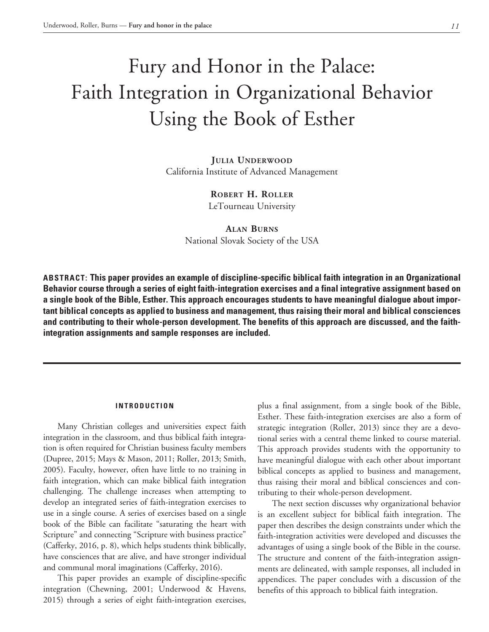# Fury and Honor in the Palace: Faith Integration in Organizational Behavior Using the Book of Esther

**Julia Underwood** California Institute of Advanced Management

> **Robert H. Roller** LeTourneau University

**Alan Burns** National Slovak Society of the USA

**ABSTRACT: This paper provides an example of discipline-specific biblical faith integration in an Organizational Behavior course through a series of eight faith-integration exercises and a final integrative assignment based on a single book of the Bible, Esther. This approach encourages students to have meaningful dialogue about important biblical concepts as applied to business and management, thus raising their moral and biblical consciences and contributing to their whole-person development. The benefits of this approach are discussed, and the faithintegration assignments and sample responses are included.**

#### **INTRODUCTION**

Many Christian colleges and universities expect faith integration in the classroom, and thus biblical faith integration is often required for Christian business faculty members (Dupree, 2015; Mays & Mason, 2011; Roller, 2013; Smith, 2005). Faculty, however, often have little to no training in faith integration, which can make biblical faith integration challenging. The challenge increases when attempting to develop an integrated series of faith-integration exercises to use in a single course. A series of exercises based on a single book of the Bible can facilitate "saturating the heart with Scripture" and connecting "Scripture with business practice" (Cafferky, 2016, p. 8), which helps students think biblically, have consciences that are alive, and have stronger individual and communal moral imaginations (Cafferky, 2016).

This paper provides an example of discipline-specific integration (Chewning, 2001; Underwood & Havens, 2015) through a series of eight faith-integration exercises, plus a final assignment, from a single book of the Bible, Esther. These faith-integration exercises are also a form of strategic integration (Roller, 2013) since they are a devotional series with a central theme linked to course material. This approach provides students with the opportunity to have meaningful dialogue with each other about important biblical concepts as applied to business and management, thus raising their moral and biblical consciences and contributing to their whole-person development.

The next section discusses why organizational behavior is an excellent subject for biblical faith integration. The paper then describes the design constraints under which the faith-integration activities were developed and discusses the advantages of using a single book of the Bible in the course. The structure and content of the faith-integration assignments are delineated, with sample responses, all included in appendices. The paper concludes with a discussion of the benefits of this approach to biblical faith integration.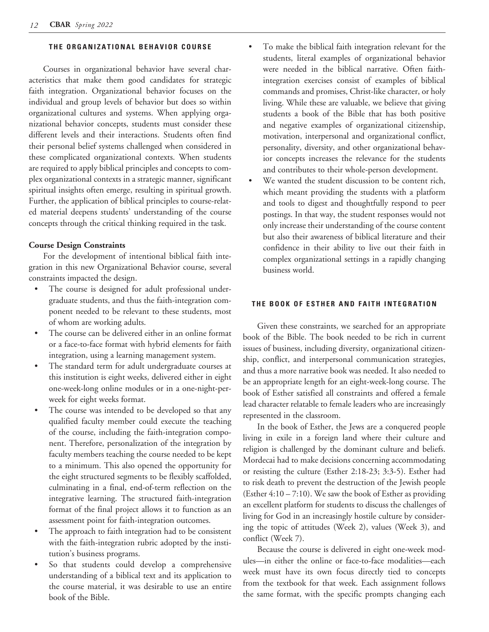#### **THE ORGANIZATIONAL BEHAVIOR COURSE**

Courses in organizational behavior have several characteristics that make them good candidates for strategic faith integration. Organizational behavior focuses on the individual and group levels of behavior but does so within organizational cultures and systems. When applying organizational behavior concepts, students must consider these different levels and their interactions. Students often find their personal belief systems challenged when considered in these complicated organizational contexts. When students are required to apply biblical principles and concepts to complex organizational contexts in a strategic manner, significant spiritual insights often emerge, resulting in spiritual growth. Further, the application of biblical principles to course-related material deepens students' understanding of the course concepts through the critical thinking required in the task.

# **Course Design Constraints**

For the development of intentional biblical faith integration in this new Organizational Behavior course, several constraints impacted the design.

- The course is designed for adult professional undergraduate students, and thus the faith-integration component needed to be relevant to these students, most of whom are working adults.
- The course can be delivered either in an online format or a face-to-face format with hybrid elements for faith integration, using a learning management system.
- The standard term for adult undergraduate courses at this institution is eight weeks, delivered either in eight one-week-long online modules or in a one-night-perweek for eight weeks format.
- The course was intended to be developed so that any qualified faculty member could execute the teaching of the course, including the faith-integration component. Therefore, personalization of the integration by faculty members teaching the course needed to be kept to a minimum. This also opened the opportunity for the eight structured segments to be flexibly scaffolded, culminating in a final, end-of-term reflection on the integrative learning. The structured faith-integration format of the final project allows it to function as an assessment point for faith-integration outcomes.
- The approach to faith integration had to be consistent with the faith-integration rubric adopted by the institution's business programs.
- So that students could develop a comprehensive understanding of a biblical text and its application to the course material, it was desirable to use an entire book of the Bible.
- To make the biblical faith integration relevant for the students, literal examples of organizational behavior were needed in the biblical narrative. Often faithintegration exercises consist of examples of biblical commands and promises, Christ-like character, or holy living. While these are valuable, we believe that giving students a book of the Bible that has both positive and negative examples of organizational citizenship, motivation, interpersonal and organizational conflict, personality, diversity, and other organizational behavior concepts increases the relevance for the students and contributes to their whole-person development.
- We wanted the student discussion to be content rich, which meant providing the students with a platform and tools to digest and thoughtfully respond to peer postings. In that way, the student responses would not only increase their understanding of the course content but also their awareness of biblical literature and their confidence in their ability to live out their faith in complex organizational settings in a rapidly changing business world.

#### **THE BOOK OF ESTHER AND FAITH INTEGRATION**

Given these constraints, we searched for an appropriate book of the Bible. The book needed to be rich in current issues of business, including diversity, organizational citizenship, conflict, and interpersonal communication strategies, and thus a more narrative book was needed. It also needed to be an appropriate length for an eight-week-long course. The book of Esther satisfied all constraints and offered a female lead character relatable to female leaders who are increasingly represented in the classroom.

In the book of Esther, the Jews are a conquered people living in exile in a foreign land where their culture and religion is challenged by the dominant culture and beliefs. Mordecai had to make decisions concerning accommodating or resisting the culture (Esther 2:18-23; 3:3-5). Esther had to risk death to prevent the destruction of the Jewish people (Esther 4:10 – 7:10). We saw the book of Esther as providing an excellent platform for students to discuss the challenges of living for God in an increasingly hostile culture by considering the topic of attitudes (Week 2), values (Week 3), and conflict (Week 7).

Because the course is delivered in eight one-week modules—in either the online or face-to-face modalities—each week must have its own focus directly tied to concepts from the textbook for that week. Each assignment follows the same format, with the specific prompts changing each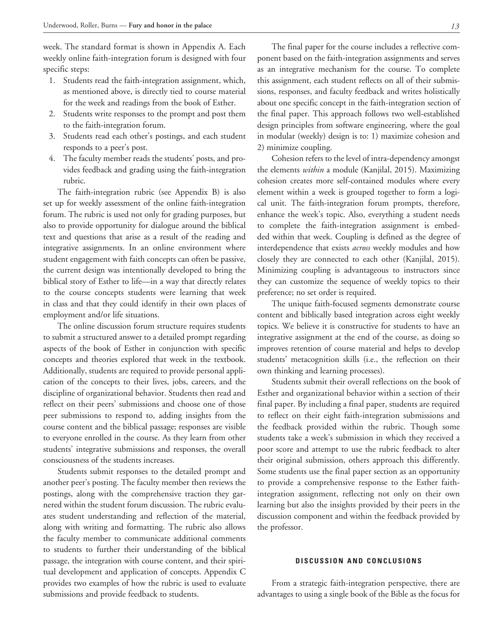week. The standard format is shown in Appendix A. Each weekly online faith-integration forum is designed with four specific steps:

- 1. Students read the faith-integration assignment, which, as mentioned above, is directly tied to course material for the week and readings from the book of Esther.
- 2. Students write responses to the prompt and post them to the faith-integration forum.
- 3. Students read each other's postings, and each student responds to a peer's post.
- 4. The faculty member reads the students' posts, and provides feedback and grading using the faith-integration rubric.

The faith-integration rubric (see Appendix B) is also set up for weekly assessment of the online faith-integration forum. The rubric is used not only for grading purposes, but also to provide opportunity for dialogue around the biblical text and questions that arise as a result of the reading and integrative assignments. In an online environment where student engagement with faith concepts can often be passive, the current design was intentionally developed to bring the biblical story of Esther to life—in a way that directly relates to the course concepts students were learning that week in class and that they could identify in their own places of employment and/or life situations.

The online discussion forum structure requires students to submit a structured answer to a detailed prompt regarding aspects of the book of Esther in conjunction with specific concepts and theories explored that week in the textbook. Additionally, students are required to provide personal application of the concepts to their lives, jobs, careers, and the discipline of organizational behavior. Students then read and reflect on their peers' submissions and choose one of those peer submissions to respond to, adding insights from the course content and the biblical passage; responses are visible to everyone enrolled in the course. As they learn from other students' integrative submissions and responses, the overall consciousness of the students increases.

Students submit responses to the detailed prompt and another peer's posting. The faculty member then reviews the postings, along with the comprehensive traction they garnered within the student forum discussion. The rubric evaluates student understanding and reflection of the material, along with writing and formatting. The rubric also allows the faculty member to communicate additional comments to students to further their understanding of the biblical passage, the integration with course content, and their spiritual development and application of concepts. Appendix C provides two examples of how the rubric is used to evaluate submissions and provide feedback to students.

The final paper for the course includes a reflective component based on the faith-integration assignments and serves as an integrative mechanism for the course. To complete this assignment, each student reflects on all of their submissions, responses, and faculty feedback and writes holistically about one specific concept in the faith-integration section of the final paper. This approach follows two well-established design principles from software engineering, where the goal in modular (weekly) design is to: 1) maximize cohesion and 2) minimize coupling.

Cohesion refers to the level of intra-dependency amongst the elements *within* a module (Kanjilal, 2015). Maximizing cohesion creates more self-contained modules where every element within a week is grouped together to form a logical unit. The faith-integration forum prompts, therefore, enhance the week's topic. Also, everything a student needs to complete the faith-integration assignment is embedded within that week. Coupling is defined as the degree of interdependence that exists *across* weekly modules and how closely they are connected to each other (Kanjilal, 2015). Minimizing coupling is advantageous to instructors since they can customize the sequence of weekly topics to their preference; no set order is required.

The unique faith-focused segments demonstrate course content and biblically based integration across eight weekly topics. We believe it is constructive for students to have an integrative assignment at the end of the course, as doing so improves retention of course material and helps to develop students' metacognition skills (i.e., the reflection on their own thinking and learning processes).

Students submit their overall reflections on the book of Esther and organizational behavior within a section of their final paper. By including a final paper, students are required to reflect on their eight faith-integration submissions and the feedback provided within the rubric. Though some students take a week's submission in which they received a poor score and attempt to use the rubric feedback to alter their original submission, others approach this differently. Some students use the final paper section as an opportunity to provide a comprehensive response to the Esther faithintegration assignment, reflecting not only on their own learning but also the insights provided by their peers in the discussion component and within the feedback provided by the professor.

#### **DISCUSSION AND CONCLUSIONS**

From a strategic faith-integration perspective, there are advantages to using a single book of the Bible as the focus for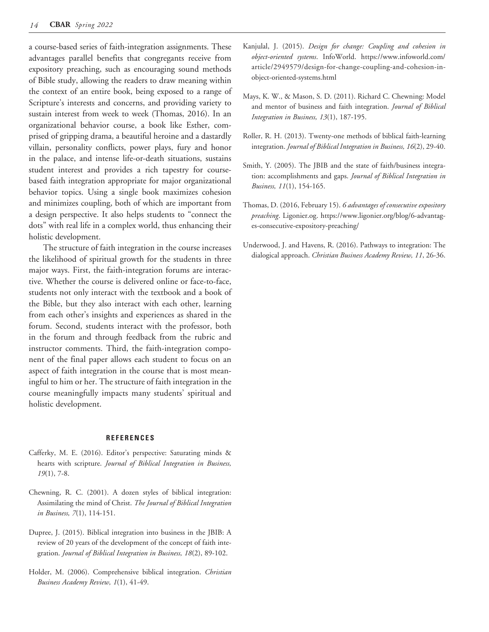a course-based series of faith-integration assignments. These advantages parallel benefits that congregants receive from expository preaching, such as encouraging sound methods of Bible study, allowing the readers to draw meaning within the context of an entire book, being exposed to a range of Scripture's interests and concerns, and providing variety to sustain interest from week to week (Thomas, 2016). In an organizational behavior course, a book like Esther, comprised of gripping drama, a beautiful heroine and a dastardly villain, personality conflicts, power plays, fury and honor in the palace, and intense life-or-death situations, sustains student interest and provides a rich tapestry for coursebased faith integration appropriate for major organizational behavior topics. Using a single book maximizes cohesion and minimizes coupling, both of which are important from a design perspective. It also helps students to "connect the dots" with real life in a complex world, thus enhancing their holistic development.

The structure of faith integration in the course increases the likelihood of spiritual growth for the students in three major ways. First, the faith-integration forums are interactive. Whether the course is delivered online or face-to-face, students not only interact with the textbook and a book of the Bible, but they also interact with each other, learning from each other's insights and experiences as shared in the forum. Second, students interact with the professor, both in the forum and through feedback from the rubric and instructor comments. Third, the faith-integration component of the final paper allows each student to focus on an aspect of faith integration in the course that is most meaningful to him or her. The structure of faith integration in the course meaningfully impacts many students' spiritual and holistic development.

#### **REFERENCES**

- Cafferky, M. E. (2016). Editor's perspective: Saturating minds & hearts with scripture. *Journal of Biblical Integration in Business, 19*(1), 7-8.
- Chewning, R. C. (2001). A dozen styles of biblical integration: Assimilating the mind of Christ. *The Journal of Biblical Integration in Business, 7*(1), 114-151.
- Dupree, J. (2015). Biblical integration into business in the JBIB: A review of 20 years of the development of the concept of faith integration. *Journal of Biblical Integration in Business, 18*(2), 89-102.
- Holder, M. (2006). Comprehensive biblical integration. *Christian Business Academy Review, 1*(1), 41-49.
- Kanjulal, J. (2015). *Design for change: Coupling and cohesion in object-oriented systems*. InfoWorld. https://www.infoworld.com/ article/2949579/design-for-change-coupling-and-cohesion-inobject-oriented-systems.html
- Mays, K. W., & Mason, S. D. (2011). Richard C. Chewning: Model and mentor of business and faith integration. *Journal of Biblical Integration in Business, 13*(1), 187-195.
- Roller, R. H. (2013). Twenty-one methods of biblical faith-learning integration. *Journal of Biblical Integration in Business, 16*(2), 29-40.
- Smith, Y. (2005). The JBIB and the state of faith/business integration: accomplishments and gaps. *Journal of Biblical Integration in Business, 11*(1), 154-165.
- Thomas, D. (2016, February 15). *6 advantages of consecutive expository preaching*. Ligonier.og. https://www.ligonier.org/blog/6-advantages-consecutive-expository-preaching/
- Underwood, J. and Havens, R. (2016). Pathways to integration: The dialogical approach. *Christian Business Academy Review, 11*, 26-36.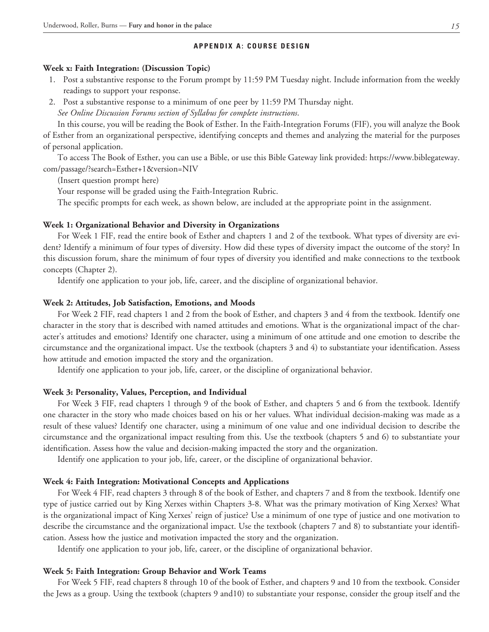#### **APPENDIX A: COURSE DESIGN**

#### **Week x: Faith Integration: (Discussion Topic)**

- 1. Post a substantive response to the Forum prompt by 11:59 PM Tuesday night. Include information from the weekly readings to support your response.
- 2. Post a substantive response to a minimum of one peer by 11:59 PM Thursday night.

*See Online Discussion Forums section of Syllabus for complete instructions*.

In this course, you will be reading the Book of Esther. In the Faith-Integration Forums (FIF), you will analyze the Book of Esther from an organizational perspective, identifying concepts and themes and analyzing the material for the purposes of personal application.

To access The Book of Esther, you can use a Bible, or use this Bible Gateway link provided: https://www.biblegateway. com/passage/?search=Esther+1&version=NIV

(Insert question prompt here)

Your response will be graded using the Faith-Integration Rubric.

The specific prompts for each week, as shown below, are included at the appropriate point in the assignment.

#### **Week 1: Organizational Behavior and Diversity in Organizations**

For Week 1 FIF, read the entire book of Esther and chapters 1 and 2 of the textbook. What types of diversity are evident? Identify a minimum of four types of diversity. How did these types of diversity impact the outcome of the story? In this discussion forum, share the minimum of four types of diversity you identified and make connections to the textbook concepts (Chapter 2).

Identify one application to your job, life, career, and the discipline of organizational behavior.

#### **Week 2: Attitudes, Job Satisfaction, Emotions, and Moods**

For Week 2 FIF, read chapters 1 and 2 from the book of Esther, and chapters 3 and 4 from the textbook. Identify one character in the story that is described with named attitudes and emotions. What is the organizational impact of the character's attitudes and emotions? Identify one character, using a minimum of one attitude and one emotion to describe the circumstance and the organizational impact. Use the textbook (chapters 3 and 4) to substantiate your identification. Assess how attitude and emotion impacted the story and the organization.

Identify one application to your job, life, career, or the discipline of organizational behavior.

#### **Week 3: Personality, Values, Perception, and Individual**

For Week 3 FIF, read chapters 1 through 9 of the book of Esther, and chapters 5 and 6 from the textbook. Identify one character in the story who made choices based on his or her values. What individual decision-making was made as a result of these values? Identify one character, using a minimum of one value and one individual decision to describe the circumstance and the organizational impact resulting from this. Use the textbook (chapters 5 and 6) to substantiate your identification. Assess how the value and decision-making impacted the story and the organization.

Identify one application to your job, life, career, or the discipline of organizational behavior.

#### **Week 4: Faith Integration: Motivational Concepts and Applications**

For Week 4 FIF, read chapters 3 through 8 of the book of Esther, and chapters 7 and 8 from the textbook. Identify one type of justice carried out by King Xerxes within Chapters 3-8. What was the primary motivation of King Xerxes? What is the organizational impact of King Xerxes' reign of justice? Use a minimum of one type of justice and one motivation to describe the circumstance and the organizational impact. Use the textbook (chapters 7 and 8) to substantiate your identification. Assess how the justice and motivation impacted the story and the organization.

Identify one application to your job, life, career, or the discipline of organizational behavior.

#### **Week 5: Faith Integration: Group Behavior and Work Teams**

For Week 5 FIF, read chapters 8 through 10 of the book of Esther, and chapters 9 and 10 from the textbook. Consider the Jews as a group. Using the textbook (chapters 9 and10) to substantiate your response, consider the group itself and the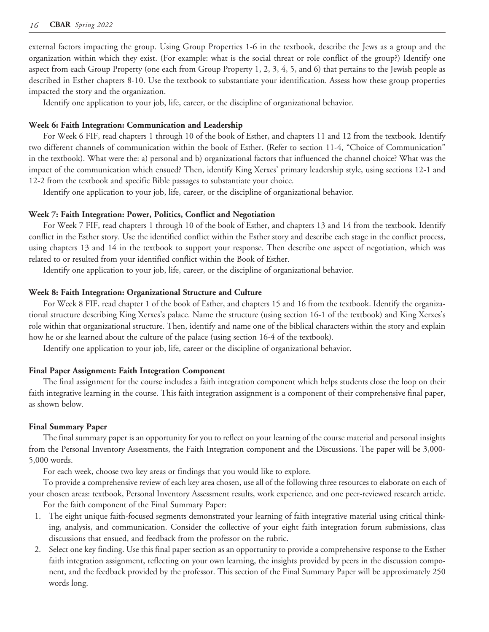external factors impacting the group. Using Group Properties 1-6 in the textbook, describe the Jews as a group and the organization within which they exist. (For example: what is the social threat or role conflict of the group?) Identify one aspect from each Group Property (one each from Group Property 1, 2, 3, 4, 5, and 6) that pertains to the Jewish people as described in Esther chapters 8-10. Use the textbook to substantiate your identification. Assess how these group properties impacted the story and the organization.

Identify one application to your job, life, career, or the discipline of organizational behavior.

#### **Week 6: Faith Integration: Communication and Leadership**

For Week 6 FIF, read chapters 1 through 10 of the book of Esther, and chapters 11 and 12 from the textbook. Identify two different channels of communication within the book of Esther. (Refer to section 11-4, "Choice of Communication" in the textbook). What were the: a) personal and b) organizational factors that influenced the channel choice? What was the impact of the communication which ensued? Then, identify King Xerxes' primary leadership style, using sections 12-1 and 12-2 from the textbook and specific Bible passages to substantiate your choice.

Identify one application to your job, life, career, or the discipline of organizational behavior.

#### **Week 7: Faith Integration: Power, Politics, Conflict and Negotiation**

For Week 7 FIF, read chapters 1 through 10 of the book of Esther, and chapters 13 and 14 from the textbook. Identify conflict in the Esther story. Use the identified conflict within the Esther story and describe each stage in the conflict process, using chapters 13 and 14 in the textbook to support your response. Then describe one aspect of negotiation, which was related to or resulted from your identified conflict within the Book of Esther.

Identify one application to your job, life, career, or the discipline of organizational behavior.

#### **Week 8: Faith Integration: Organizational Structure and Culture**

For Week 8 FIF, read chapter 1 of the book of Esther, and chapters 15 and 16 from the textbook. Identify the organizational structure describing King Xerxes's palace. Name the structure (using section 16-1 of the textbook) and King Xerxes's role within that organizational structure. Then, identify and name one of the biblical characters within the story and explain how he or she learned about the culture of the palace (using section 16-4 of the textbook).

Identify one application to your job, life, career or the discipline of organizational behavior.

#### **Final Paper Assignment: Faith Integration Component**

The final assignment for the course includes a faith integration component which helps students close the loop on their faith integrative learning in the course. This faith integration assignment is a component of their comprehensive final paper, as shown below.

#### **Final Summary Paper**

The final summary paper is an opportunity for you to reflect on your learning of the course material and personal insights from the Personal Inventory Assessments, the Faith Integration component and the Discussions. The paper will be 3,000- 5,000 words.

For each week, choose two key areas or findings that you would like to explore.

To provide a comprehensive review of each key area chosen, use all of the following three resources to elaborate on each of your chosen areas: textbook, Personal Inventory Assessment results, work experience, and one peer-reviewed research article.

For the faith component of the Final Summary Paper:

- 1. The eight unique faith-focused segments demonstrated your learning of faith integrative material using critical thinking, analysis, and communication. Consider the collective of your eight faith integration forum submissions, class discussions that ensued, and feedback from the professor on the rubric.
- 2. Select one key finding. Use this final paper section as an opportunity to provide a comprehensive response to the Esther faith integration assignment, reflecting on your own learning, the insights provided by peers in the discussion component, and the feedback provided by the professor. This section of the Final Summary Paper will be approximately 250 words long.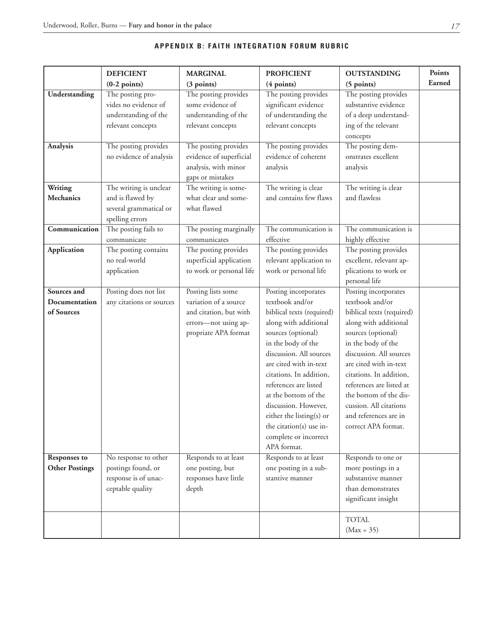|                             | <b>DEFICIENT</b>         | <b>MARGINAL</b>                             | <b>PROFICIENT</b>                           | <b>OUTSTANDING</b>                          | Points |
|-----------------------------|--------------------------|---------------------------------------------|---------------------------------------------|---------------------------------------------|--------|
|                             | $(0-2$ points)           | (3 points)                                  | (4 points)                                  | (5 points)                                  | Earned |
| Understanding               | The posting pro-         | The posting provides                        | The posting provides                        | The posting provides                        |        |
|                             | vides no evidence of     | some evidence of                            | significant evidence                        | substantive evidence                        |        |
|                             | understanding of the     | understanding of the                        | of understanding the                        | of a deep understand-                       |        |
|                             | relevant concepts        | relevant concepts                           | relevant concepts                           | ing of the relevant                         |        |
|                             |                          |                                             |                                             | concepts                                    |        |
| Analysis                    | The posting provides     | The posting provides                        | The posting provides                        | The posting dem-                            |        |
|                             | no evidence of analysis  | evidence of superficial                     | evidence of coherent                        | onstrates excellent                         |        |
|                             |                          | analysis, with minor                        | analysis                                    | analysis                                    |        |
|                             |                          | gaps or mistakes                            |                                             |                                             |        |
| Writing                     | The writing is unclear   | The writing is some-                        | The writing is clear                        | The writing is clear                        |        |
| <b>Mechanics</b>            | and is flawed by         | what clear and some-                        | and contains few flaws                      | and flawless                                |        |
|                             | several grammatical or   | what flawed                                 |                                             |                                             |        |
|                             | spelling errors          |                                             |                                             |                                             |        |
| Communication               | The posting fails to     | The posting marginally                      | The communication is                        | The communication is                        |        |
|                             | communicate              | communicates                                | effective                                   | highly effective                            |        |
| Application                 | The posting contains     | The posting provides                        | The posting provides                        | The posting provides                        |        |
|                             | no real-world            | superficial application                     | relevant application to                     | excellent, relevant ap-                     |        |
|                             | application              | to work or personal life                    | work or personal life                       | plications to work or                       |        |
| Sources and                 |                          |                                             |                                             | personal life                               |        |
|                             | Posting does not list    | Posting lists some<br>variation of a source | Posting incorporates<br>textbook and/or     | Posting incorporates<br>textbook and/or     |        |
| Documentation<br>of Sources | any citations or sources | and citation, but with                      |                                             |                                             |        |
|                             |                          |                                             | biblical texts (required)                   | biblical texts (required)                   |        |
|                             |                          | errors-not using ap-                        | along with additional<br>sources (optional) | along with additional<br>sources (optional) |        |
|                             |                          | propriate APA format                        | in the body of the                          | in the body of the                          |        |
|                             |                          |                                             | discussion. All sources                     | discussion. All sources                     |        |
|                             |                          |                                             | are cited with in-text                      | are cited with in-text                      |        |
|                             |                          |                                             | citations. In addition,                     | citations. In addition,                     |        |
|                             |                          |                                             | references are listed                       | references are listed at                    |        |
|                             |                          |                                             | at the bottom of the                        | the bottom of the dis-                      |        |
|                             |                          |                                             | discussion. However,                        | cussion. All citations                      |        |
|                             |                          |                                             | either the listing(s) or                    | and references are in                       |        |
|                             |                          |                                             | the citation(s) use in-                     | correct APA format.                         |        |
|                             |                          |                                             | complete or incorrect                       |                                             |        |
|                             |                          |                                             | APA format.                                 |                                             |        |
| <b>Responses to</b>         | No response to other     | Responds to at least                        | Responds to at least                        | Responds to one or                          |        |
| <b>Other Postings</b>       | postings found, or       | one posting, but                            | one posting in a sub-                       | more postings in a                          |        |
|                             | response is of unac-     | responses have little                       | stantive manner                             | substantive manner                          |        |
|                             | ceptable quality         | depth                                       |                                             | than demonstrates                           |        |
|                             |                          |                                             |                                             | significant insight                         |        |
|                             |                          |                                             |                                             |                                             |        |
|                             |                          |                                             |                                             | <b>TOTAL</b>                                |        |
|                             |                          |                                             |                                             | $(Max = 35)$                                |        |

# **APPENDIX B: FAITH INTEGRATION FORUM RUBRIC**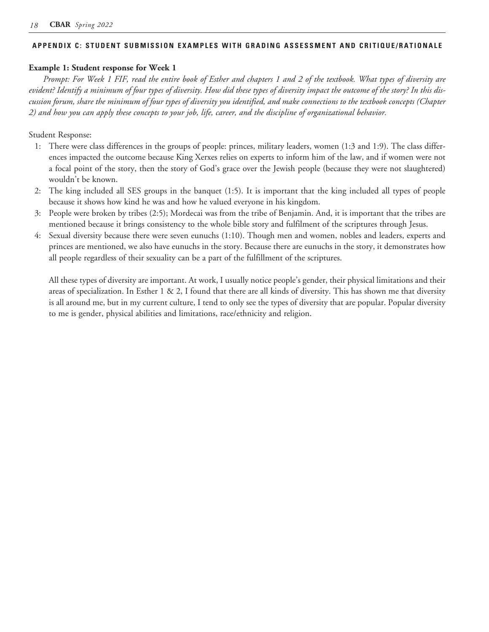#### **APPENDIX C: STUDENT SUBMISSION EXAMPLES WITH GRADING ASSESSMENT AND CRITIQUE/RATIONALE**

# **Example 1: Student response for Week 1**

*Prompt: For Week 1 FIF, read the entire book of Esther and chapters 1 and 2 of the textbook. What types of diversity are evident? Identify a minimum of four types of diversity. How did these types of diversity impact the outcome of the story? In this discussion forum, share the minimum of four types of diversity you identified, and make connections to the textbook concepts (Chapter 2) and how you can apply these concepts to your job, life, career, and the discipline of organizational behavior.*

# Student Response:

- 1: There were class differences in the groups of people: princes, military leaders, women (1:3 and 1:9). The class differences impacted the outcome because King Xerxes relies on experts to inform him of the law, and if women were not a focal point of the story, then the story of God's grace over the Jewish people (because they were not slaughtered) wouldn't be known.
- 2: The king included all SES groups in the banquet (1:5). It is important that the king included all types of people because it shows how kind he was and how he valued everyone in his kingdom.
- 3: People were broken by tribes (2:5); Mordecai was from the tribe of Benjamin. And, it is important that the tribes are mentioned because it brings consistency to the whole bible story and fulfilment of the scriptures through Jesus.
- 4: Sexual diversity because there were seven eunuchs (1:10). Though men and women, nobles and leaders, experts and princes are mentioned, we also have eunuchs in the story. Because there are eunuchs in the story, it demonstrates how all people regardless of their sexuality can be a part of the fulfillment of the scriptures.

All these types of diversity are important. At work, I usually notice people's gender, their physical limitations and their areas of specialization. In Esther 1 & 2, I found that there are all kinds of diversity. This has shown me that diversity is all around me, but in my current culture, I tend to only see the types of diversity that are popular. Popular diversity to me is gender, physical abilities and limitations, race/ethnicity and religion.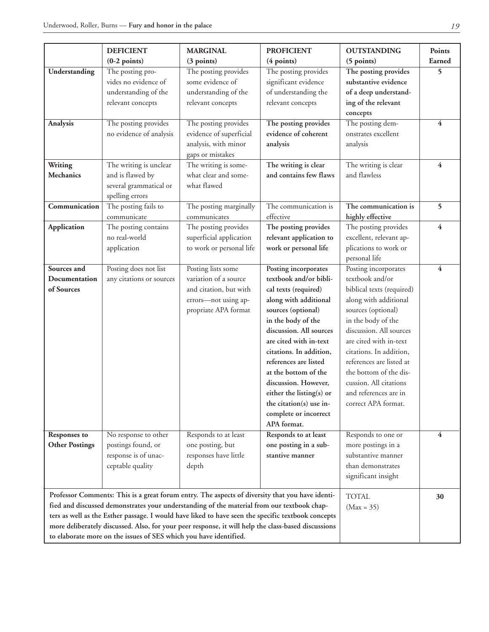|                       | <b>DEFICIENT</b>                                                                                    | <b>MARGINAL</b>          | <b>PROFICIENT</b>        | <b>OUTSTANDING</b>        | <b>Points</b>  |
|-----------------------|-----------------------------------------------------------------------------------------------------|--------------------------|--------------------------|---------------------------|----------------|
|                       | $(0-2$ points)                                                                                      | (3 points)               | (4 points)               | (5 points)                | Earned         |
| Understanding         | The posting pro-                                                                                    | The posting provides     | The posting provides     | The posting provides      | 5              |
|                       | vides no evidence of                                                                                | some evidence of         | significant evidence     | substantive evidence      |                |
|                       | understanding of the                                                                                | understanding of the     | of understanding the     | of a deep understand-     |                |
|                       | relevant concepts                                                                                   | relevant concepts        | relevant concepts        | ing of the relevant       |                |
|                       |                                                                                                     |                          |                          | concepts                  |                |
| <b>Analysis</b>       | The posting provides                                                                                | The posting provides     | The posting provides     | The posting dem-          | $\overline{4}$ |
|                       | no evidence of analysis                                                                             | evidence of superficial  | evidence of coherent     | onstrates excellent       |                |
|                       |                                                                                                     | analysis, with minor     | analysis                 | analysis                  |                |
|                       |                                                                                                     | gaps or mistakes         |                          |                           |                |
| Writing               | The writing is unclear                                                                              | The writing is some-     | The writing is clear     | The writing is clear      | 4              |
| <b>Mechanics</b>      | and is flawed by                                                                                    | what clear and some-     | and contains few flaws   | and flawless              |                |
|                       | several grammatical or                                                                              | what flawed              |                          |                           |                |
|                       | spelling errors                                                                                     |                          |                          |                           |                |
| Communication         | The posting fails to                                                                                | The posting marginally   | The communication is     | The communication is      | 5              |
|                       | communicate                                                                                         | communicates             | effective                | highly effective          |                |
| <b>Application</b>    | The posting contains                                                                                | The posting provides     | The posting provides     | The posting provides      | $\overline{4}$ |
|                       | no real-world                                                                                       | superficial application  | relevant application to  | excellent, relevant ap-   |                |
|                       | application                                                                                         | to work or personal life | work or personal life    | plications to work or     |                |
|                       |                                                                                                     |                          |                          | personal life             |                |
| Sources and           | Posting does not list                                                                               | Posting lists some       | Posting incorporates     | Posting incorporates      | 4              |
| Documentation         | any citations or sources                                                                            | variation of a source    | textbook and/or bibli-   | textbook and/or           |                |
| of Sources            |                                                                                                     | and citation, but with   | cal texts (required)     | biblical texts (required) |                |
|                       |                                                                                                     | errors-not using ap-     | along with additional    | along with additional     |                |
|                       |                                                                                                     | propriate APA format     | sources (optional)       | sources (optional)        |                |
|                       |                                                                                                     |                          | in the body of the       | in the body of the        |                |
|                       |                                                                                                     |                          | discussion. All sources  | discussion. All sources   |                |
|                       |                                                                                                     |                          | are cited with in-text   | are cited with in-text    |                |
|                       |                                                                                                     |                          | citations. In addition,  | citations. In addition,   |                |
|                       |                                                                                                     |                          | references are listed    | references are listed at  |                |
|                       |                                                                                                     |                          | at the bottom of the     | the bottom of the dis-    |                |
|                       |                                                                                                     |                          | discussion. However,     | cussion. All citations    |                |
|                       |                                                                                                     |                          | either the listing(s) or | and references are in     |                |
|                       |                                                                                                     |                          | the citation(s) use in-  | correct APA format.       |                |
|                       |                                                                                                     |                          | complete or incorrect    |                           |                |
|                       |                                                                                                     |                          | APA format.              |                           |                |
| <b>Responses to</b>   | No response to other                                                                                | Responds to at least     | Responds to at least     | Responds to one or        | 4              |
| <b>Other Postings</b> | postings found, or                                                                                  | one posting, but         | one posting in a sub-    | more postings in a        |                |
|                       | response is of unac-                                                                                | responses have little    | stantive manner          | substantive manner        |                |
|                       | ceptable quality                                                                                    | depth                    |                          | than demonstrates         |                |
|                       |                                                                                                     |                          |                          | significant insight       |                |
|                       | Professor Comments: This is a great forum entry. The aspects of diversity that you have identi-     |                          |                          |                           |                |
|                       | fied and discussed demonstrates your understanding of the material from our textbook chap-          | <b>TOTAL</b>             | 30                       |                           |                |
|                       | ters as well as the Esther passage. I would have liked to have seen the specific textbook concepts  | $(Max = 35)$             |                          |                           |                |
|                       | more deliberately discussed. Also, for your peer response, it will help the class-based discussions |                          |                          |                           |                |
|                       | to elaborate more on the issues of SES which you have identified.                                   |                          |                          |                           |                |
|                       |                                                                                                     |                          |                          |                           |                |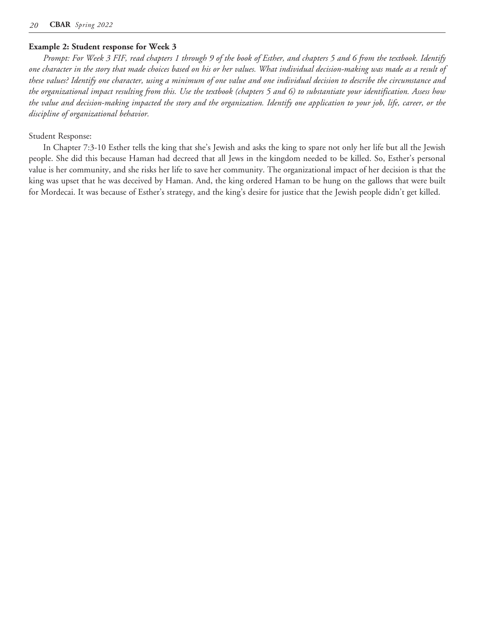#### **Example 2: Student response for Week 3**

*Prompt: For Week 3 FIF, read chapters 1 through 9 of the book of Esther, and chapters 5 and 6 from the textbook. Identify one character in the story that made choices based on his or her values. What individual decision-making was made as a result of these values? Identify one character, using a minimum of one value and one individual decision to describe the circumstance and the organizational impact resulting from this. Use the textbook (chapters 5 and 6) to substantiate your identification. Assess how the value and decision-making impacted the story and the organization. Identify one application to your job, life, career, or the discipline of organizational behavior.*

#### Student Response:

In Chapter 7:3-10 Esther tells the king that she's Jewish and asks the king to spare not only her life but all the Jewish people. She did this because Haman had decreed that all Jews in the kingdom needed to be killed. So, Esther's personal value is her community, and she risks her life to save her community. The organizational impact of her decision is that the king was upset that he was deceived by Haman. And, the king ordered Haman to be hung on the gallows that were built for Mordecai. It was because of Esther's strategy, and the king's desire for justice that the Jewish people didn't get killed.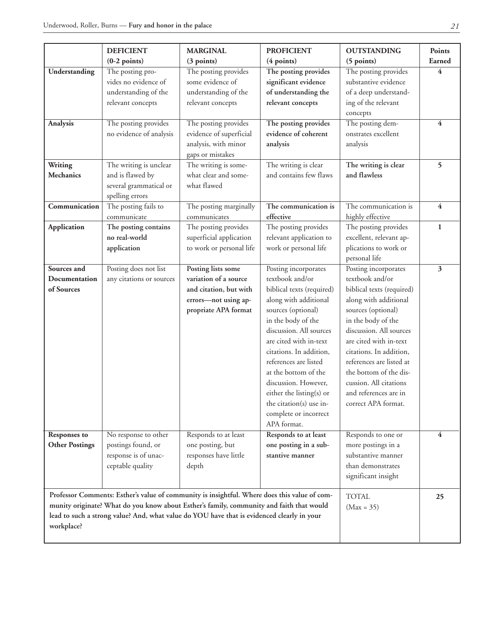|                                              | <b>DEFICIENT</b><br>$(0-2$ points)                                                                                                                                                                                                                                                     | <b>MARGINAL</b><br>(3 points)                                                                                                                                                        | <b>PROFICIENT</b><br>(4 points)                                                                                                                                                                                                                                                                                                                                                                   | <b>OUTSTANDING</b><br>(5 points)                                                                                                                                                                                                                                                                                                                          | <b>Points</b><br>Earned |
|----------------------------------------------|----------------------------------------------------------------------------------------------------------------------------------------------------------------------------------------------------------------------------------------------------------------------------------------|--------------------------------------------------------------------------------------------------------------------------------------------------------------------------------------|---------------------------------------------------------------------------------------------------------------------------------------------------------------------------------------------------------------------------------------------------------------------------------------------------------------------------------------------------------------------------------------------------|-----------------------------------------------------------------------------------------------------------------------------------------------------------------------------------------------------------------------------------------------------------------------------------------------------------------------------------------------------------|-------------------------|
| Understanding<br>Analysis                    | The posting pro-<br>vides no evidence of<br>understanding of the<br>relevant concepts<br>The posting provides<br>no evidence of analysis                                                                                                                                               | The posting provides<br>some evidence of<br>understanding of the<br>relevant concepts<br>The posting provides<br>evidence of superficial<br>analysis, with minor<br>gaps or mistakes | The posting provides<br>significant evidence<br>of understanding the<br>relevant concepts<br>The posting provides<br>evidence of coherent<br>analysis                                                                                                                                                                                                                                             | The posting provides<br>substantive evidence<br>of a deep understand-<br>ing of the relevant<br>concepts<br>The posting dem-<br>onstrates excellent<br>analysis                                                                                                                                                                                           | 4<br>$\overline{4}$     |
| Writing<br><b>Mechanics</b>                  | The writing is unclear<br>and is flawed by<br>several grammatical or<br>spelling errors                                                                                                                                                                                                | The writing is some-<br>what clear and some-<br>what flawed                                                                                                                          | The writing is clear<br>and contains few flaws                                                                                                                                                                                                                                                                                                                                                    | The writing is clear<br>and flawless                                                                                                                                                                                                                                                                                                                      | 5                       |
| Communication                                | The posting fails to<br>communicate                                                                                                                                                                                                                                                    | The posting marginally<br>communicates                                                                                                                                               | The communication is<br>effective                                                                                                                                                                                                                                                                                                                                                                 | The communication is<br>highly effective                                                                                                                                                                                                                                                                                                                  | 4                       |
| Application                                  | The posting contains<br>no real-world<br>application                                                                                                                                                                                                                                   | The posting provides<br>superficial application<br>to work or personal life                                                                                                          | The posting provides<br>relevant application to<br>work or personal life                                                                                                                                                                                                                                                                                                                          | The posting provides<br>excellent, relevant ap-<br>plications to work or<br>personal life                                                                                                                                                                                                                                                                 | $\mathbf{1}$            |
| Sources and<br>Documentation<br>of Sources   | Posting does not list<br>any citations or sources                                                                                                                                                                                                                                      | Posting lists some<br>variation of a source<br>and citation, but with<br>errors-not using ap-<br>propriate APA format                                                                | Posting incorporates<br>textbook and/or<br>biblical texts (required)<br>along with additional<br>sources (optional)<br>in the body of the<br>discussion. All sources<br>are cited with in-text<br>citations. In addition,<br>references are listed<br>at the bottom of the<br>discussion. However,<br>either the listing(s) or<br>the citation(s) use in-<br>complete or incorrect<br>APA format. | Posting incorporates<br>textbook and/or<br>biblical texts (required)<br>along with additional<br>sources (optional)<br>in the body of the<br>discussion. All sources<br>are cited with in-text<br>citations. In addition,<br>references are listed at<br>the bottom of the dis-<br>cussion. All citations<br>and references are in<br>correct APA format. | $\overline{\mathbf{3}}$ |
| <b>Responses to</b><br><b>Other Postings</b> | No response to other<br>postings found, or<br>response is of unac-<br>ceptable quality                                                                                                                                                                                                 | Responds to at least<br>one posting, but<br>responses have little<br>depth                                                                                                           | Responds to at least<br>one posting in a sub-<br>stantive manner                                                                                                                                                                                                                                                                                                                                  | Responds to one or<br>more postings in a<br>substantive manner<br>than demonstrates<br>significant insight                                                                                                                                                                                                                                                | 4                       |
| workplace?                                   | Professor Comments: Esther's value of community is insightful. Where does this value of com-<br>munity originate? What do you know about Esther's family, community and faith that would<br>lead to such a strong value? And, what value do YOU have that is evidenced clearly in your | <b>TOTAL</b><br>$(Max = 35)$                                                                                                                                                         | 25                                                                                                                                                                                                                                                                                                                                                                                                |                                                                                                                                                                                                                                                                                                                                                           |                         |